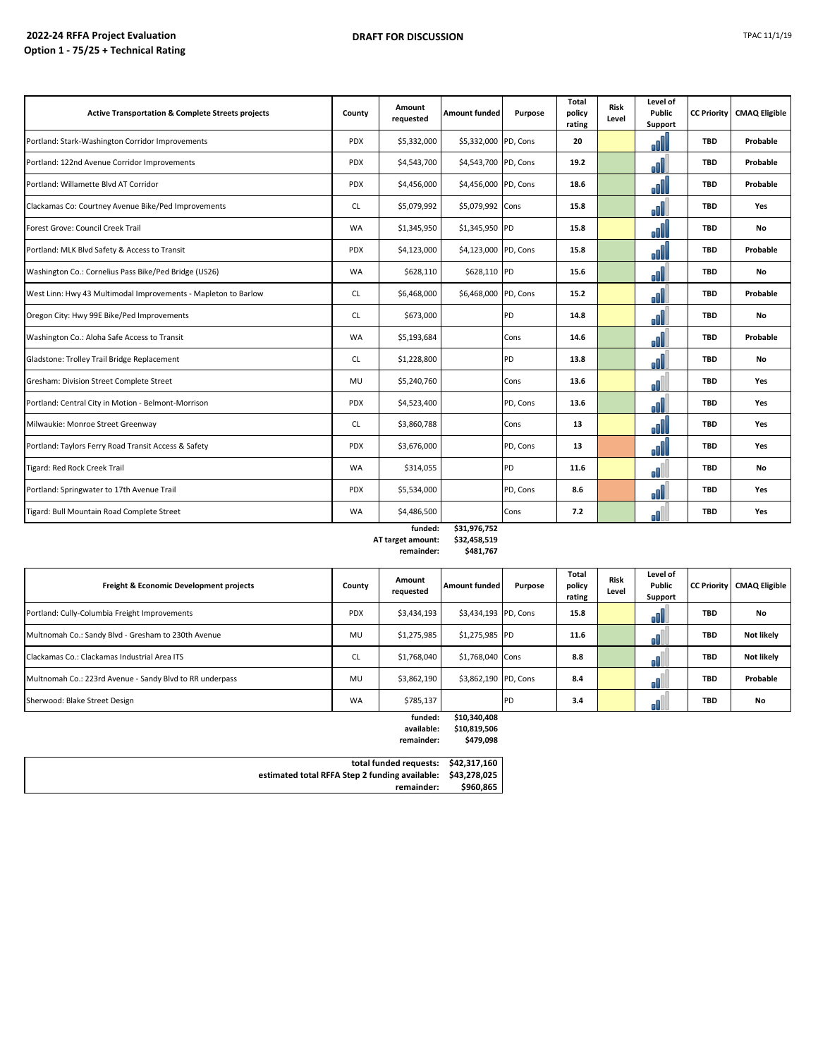| <b>Active Transportation &amp; Complete Streets projects</b>   | County     | Amount<br>requested | <b>Amount funded</b> | Purpose   | <b>Total</b><br>policy<br>rating | <b>Risk</b><br>Level | Level of<br>Public<br>Support | <b>CC Priority</b> | <b>CMAQ Eligible</b> |
|----------------------------------------------------------------|------------|---------------------|----------------------|-----------|----------------------------------|----------------------|-------------------------------|--------------------|----------------------|
| Portland: Stark-Washington Corridor Improvements               | <b>PDX</b> | \$5,332,000         | \$5,332,000 PD, Cons |           | 20                               |                      | oOl                           | <b>TBD</b>         | Probable             |
| Portland: 122nd Avenue Corridor Improvements                   | <b>PDX</b> | \$4,543,700         | \$4,543,700 PD, Cons |           | 19.2                             |                      | ol                            | <b>TBD</b>         | Probable             |
| Portland: Willamette Blvd AT Corridor                          | <b>PDX</b> | \$4,456,000         | \$4,456,000 PD, Cons |           | 18.6                             |                      | oO                            | <b>TBD</b>         | Probable             |
| Clackamas Co: Courtney Avenue Bike/Ped Improvements            | <b>CL</b>  | \$5,079,992         | \$5,079,992 Cons     |           | 15.8                             |                      | ol                            | <b>TBD</b>         | Yes                  |
| Forest Grove: Council Creek Trail                              | <b>WA</b>  | \$1,345,950         | \$1,345,950 PD       |           | 15.8                             |                      | oO                            | <b>TBD</b>         | No                   |
| Portland: MLK Blvd Safety & Access to Transit                  | <b>PDX</b> | \$4,123,000         | \$4,123,000 PD, Cons |           | 15.8                             |                      | oll                           | <b>TBD</b>         | Probable             |
| Washington Co.: Cornelius Pass Bike/Ped Bridge (US26)          | <b>WA</b>  | \$628,110           | \$628,110 PD         |           | 15.6                             |                      | ol                            | <b>TBD</b>         | No                   |
| West Linn: Hwy 43 Multimodal Improvements - Mapleton to Barlow | <b>CL</b>  | \$6,468,000         | \$6,468,000 PD, Cons |           | 15.2                             |                      | oOU                           | <b>TBD</b>         | Probable             |
| Oregon City: Hwy 99E Bike/Ped Improvements                     | <b>CL</b>  | \$673,000           |                      | PD        | 14.8                             |                      | JĪ                            | <b>TBD</b>         | No                   |
| Washington Co.: Aloha Safe Access to Transit                   | <b>WA</b>  | \$5,193,684         |                      | Cons      | 14.6                             |                      | oO                            | <b>TBD</b>         | Probable             |
| Gladstone: Trolley Trail Bridge Replacement                    | <b>CL</b>  | \$1,228,800         |                      | PD        | 13.8                             |                      | ol                            | <b>TBD</b>         | No                   |
| Gresham: Division Street Complete Street                       | <b>MU</b>  | \$5,240,760         |                      | Cons      | 13.6                             |                      | oO                            | <b>TBD</b>         | Yes                  |
| Portland: Central City in Motion - Belmont-Morrison            | <b>PDX</b> | \$4,523,400         |                      | PD, Cons  | 13.6                             |                      | ol                            | <b>TBD</b>         | Yes                  |
| Milwaukie: Monroe Street Greenway                              | <b>CL</b>  | \$3,860,788         |                      | Cons      | 13                               |                      | oO                            | <b>TBD</b>         | Yes                  |
| Portland: Taylors Ferry Road Transit Access & Safety           | <b>PDX</b> | \$3,676,000         |                      | PD, Cons  | 13                               |                      | oO                            | <b>TBD</b>         | Yes                  |
| Tigard: Red Rock Creek Trail                                   | <b>WA</b>  | \$314,055           |                      | <b>PD</b> | 11.6                             |                      | oŪ                            | <b>TBD</b>         | No                   |
| Portland: Springwater to 17th Avenue Trail                     | <b>PDX</b> | \$5,534,000         |                      | PD, Cons  | 8.6                              |                      | oO                            | <b>TBD</b>         | Yes                  |
| Tigard: Bull Mountain Road Complete Street                     | <b>WA</b>  | \$4,486,500         |                      | Cons      | 7.2                              |                      | nN                            | <b>TBD</b>         | Yes                  |

### **funded: \$31,976,752**  $AT target amount:$ **remainder: \$481,767**

| nount.  | 334,430,319 |
|---------|-------------|
| ainder: | \$481,767   |

| <b>Freight &amp; Economic Development projects</b>       | County     | Amount<br>requested | <b>Amount funded</b> | Purpose    | Total<br>policy<br>rating | <b>Risk</b><br>Level | Level of<br>Public<br>Support |            | <b>CC Priority CMAQ Eligible</b> |
|----------------------------------------------------------|------------|---------------------|----------------------|------------|---------------------------|----------------------|-------------------------------|------------|----------------------------------|
| Portland: Cully-Columbia Freight Improvements            | <b>PDX</b> | \$3,434,193         | \$3,434,193 PD, Cons |            | 15.8                      |                      | oUU                           | <b>TBD</b> | No                               |
| Multnomah Co.: Sandy Blvd - Gresham to 230th Avenue      | MU         | \$1,275,985         | \$1,275,985 PD       |            | 11.6                      |                      |                               | <b>TBD</b> | <b>Not likely</b>                |
| Clackamas Co.: Clackamas Industrial Area ITS             | CL         | \$1,768,040         | \$1,768,040 Cons     |            | 8.8                       |                      |                               | <b>TBD</b> | Not likely                       |
| Multnomah Co.: 223rd Avenue - Sandy Blvd to RR underpass | MU         | \$3,862,190         | \$3,862,190 PD, Cons |            | 8.4                       |                      |                               | <b>TBD</b> | Probable                         |
| Sherwood: Blake Street Design                            | <b>WA</b>  | \$785,137           |                      | <b>IPD</b> | 3.4                       |                      |                               | <b>TBD</b> | No                               |
|                                                          |            | funded:             | \$10.340.408         |            |                           |                      |                               |            |                                  |

| .          |              |
|------------|--------------|
| available: | \$10,819,506 |
| remainder: | \$479,098    |

|           | total funded requests: \$42,317,160                         |
|-----------|-------------------------------------------------------------|
|           | estimated total RFFA Step 2 funding available: \$43,278,025 |
| \$960.865 | remainder:                                                  |
|           |                                                             |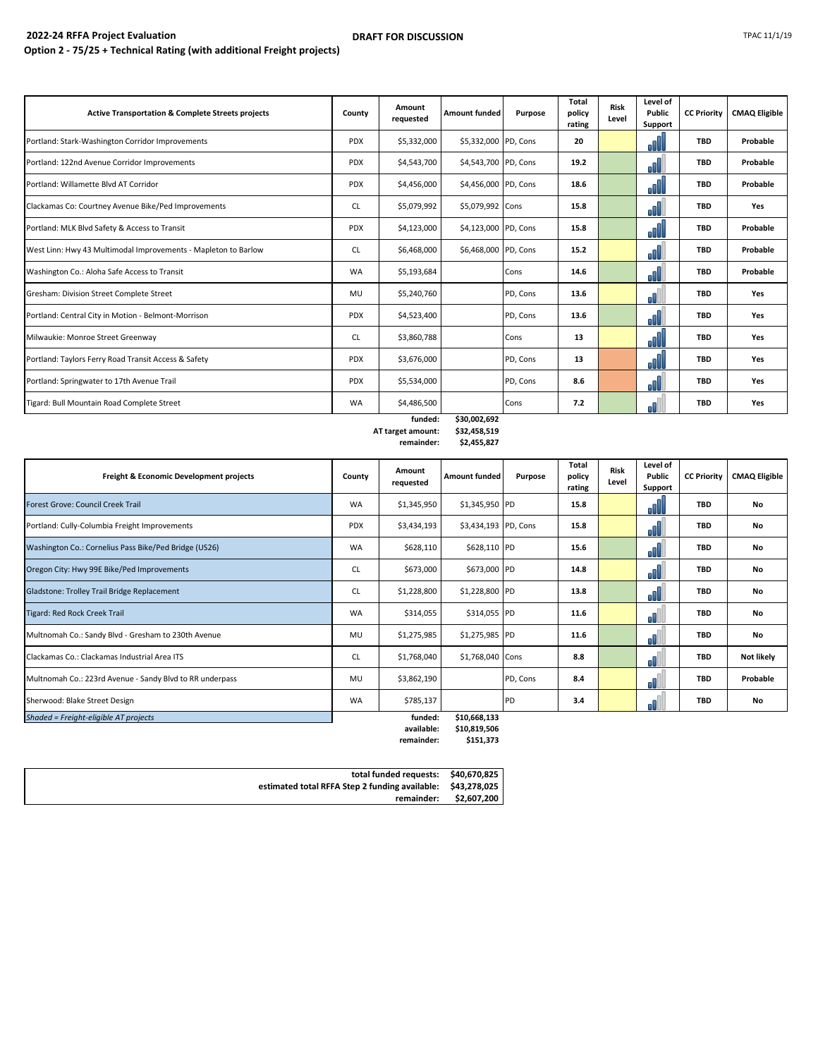#### **2022-24 RFFA Project Evaluation Option 2 - 75/25 + Technical Rating (with additional Freight projects) DRAFT FOR DISCUSSION** TPAC 11/1/19

| <b>Active Transportation &amp; Complete Streets projects</b>   | County     | Amount<br>requested | <b>Amount funded</b> | Purpose  | Total<br>policy<br>rating | <b>Risk</b><br>Level | Level of<br>Public<br>Support | <b>CC Priority</b> | <b>CMAQ Eligible</b> |
|----------------------------------------------------------------|------------|---------------------|----------------------|----------|---------------------------|----------------------|-------------------------------|--------------------|----------------------|
| Portland: Stark-Washington Corridor Improvements               | <b>PDX</b> | \$5,332,000         | \$5,332,000 PD, Cons |          | 20                        |                      | oOU                           | <b>TBD</b>         | Probable             |
| Portland: 122nd Avenue Corridor Improvements                   | <b>PDX</b> | \$4,543,700         | \$4,543,700 PD, Cons |          | 19.2                      |                      | oll                           | <b>TBD</b>         | Probable             |
| Portland: Willamette Blvd AT Corridor                          | <b>PDX</b> | \$4,456,000         | \$4,456,000 PD, Cons |          | 18.6                      |                      | oOU                           | <b>TBD</b>         | Probable             |
| Clackamas Co: Courtney Avenue Bike/Ped Improvements            | CL         | \$5,079,992         | \$5,079,992 Cons     |          | 15.8                      |                      | oŪ                            | <b>TBD</b>         | Yes                  |
| Portland: MLK Blvd Safety & Access to Transit                  | <b>PDX</b> | \$4,123,000         | \$4,123,000 PD, Cons |          | 15.8                      |                      | oOU                           | <b>TBD</b>         | Probable             |
| West Linn: Hwy 43 Multimodal Improvements - Mapleton to Barlow | CL         | \$6,468,000         | \$6,468,000 PD, Cons |          | 15.2                      |                      | oO                            | <b>TBD</b>         | Probable             |
| Washington Co.: Aloha Safe Access to Transit                   | <b>WA</b>  | \$5,193,684         |                      | Cons     | 14.6                      |                      | oO                            | <b>TBD</b>         | Probable             |
| Gresham: Division Street Complete Street                       | MU         | \$5,240,760         |                      | PD, Cons | 13.6                      |                      | ۵H                            | <b>TBD</b>         | Yes                  |
| Portland: Central City in Motion - Belmont-Morrison            | <b>PDX</b> | \$4,523,400         |                      | PD, Cons | 13.6                      |                      | oO                            | <b>TBD</b>         | Yes                  |
| Milwaukie: Monroe Street Greenway                              | <b>CL</b>  | \$3,860,788         |                      | Cons     | 13                        |                      | oO                            | <b>TBD</b>         | Yes                  |
| Portland: Taylors Ferry Road Transit Access & Safety           | <b>PDX</b> | \$3,676,000         |                      | PD, Cons | 13                        |                      | oO                            | <b>TBD</b>         | Yes                  |
| Portland: Springwater to 17th Avenue Trail                     | <b>PDX</b> | \$5,534,000         |                      | PD, Cons | 8.6                       |                      | oŪ                            | <b>TBD</b>         | Yes                  |
| Tigard: Bull Mountain Road Complete Street                     | <b>WA</b>  | \$4,486,500         |                      | Cons     | 7.2                       |                      | oß                            | <b>TBD</b>         | Yes                  |

### **funded: \$30,002,692 AT target amount:**<br>**:remainder remainder: \$2,455,827**

| Freight & Economic Development projects                  | County     | Amount<br>requested | <b>Amount funded</b>        | Purpose  | Total<br>policy<br>rating | <b>Risk</b><br>Level | Level of<br>Public<br>Support | <b>CC Priority</b> | <b>CMAQ Eligible</b> |
|----------------------------------------------------------|------------|---------------------|-----------------------------|----------|---------------------------|----------------------|-------------------------------|--------------------|----------------------|
| Forest Grove: Council Creek Trail                        | <b>WA</b>  | \$1,345,950         | \$1,345,950 PD              |          | 15.8                      |                      | oOUL                          | <b>TBD</b>         | <b>No</b>            |
| Portland: Cully-Columbia Freight Improvements            | <b>PDX</b> | \$3,434,193         | \$3,434,193 PD, Cons        |          | 15.8                      |                      | oO                            | <b>TBD</b>         | <b>No</b>            |
| Washington Co.: Cornelius Pass Bike/Ped Bridge (US26)    | <b>WA</b>  | \$628,110           | \$628,110 PD                |          | 15.6                      |                      | oO                            | <b>TBD</b>         | No                   |
| Oregon City: Hwy 99E Bike/Ped Improvements               | <b>CL</b>  | \$673,000           | \$673,000 PD                |          | 14.8                      |                      | oO                            | <b>TBD</b>         | <b>No</b>            |
| Gladstone: Trolley Trail Bridge Replacement              | CL         | \$1,228,800         | \$1,228,800 PD              |          | 13.8                      |                      | oll                           | <b>TBD</b>         | No                   |
| Tigard: Red Rock Creek Trail                             | <b>WA</b>  | \$314,055           | \$314,055 PD                |          | 11.6                      |                      | oll l                         | <b>TBD</b>         | <b>No</b>            |
| Multnomah Co.: Sandy Blvd - Gresham to 230th Avenue      | MU         | \$1,275,985         | \$1,275,985 PD              |          | 11.6                      |                      | oll                           | <b>TBD</b>         | <b>No</b>            |
| Clackamas Co.: Clackamas Industrial Area ITS             | CL         | \$1,768,040         | \$1,768,040 Cons            |          | 8.8                       |                      | oO                            | <b>TBD</b>         | Not likely           |
| Multnomah Co.: 223rd Avenue - Sandy Blvd to RR underpass | <b>MU</b>  | \$3,862,190         |                             | PD, Cons | 8.4                       |                      | oß                            | <b>TBD</b>         | Probable             |
| Sherwood: Blake Street Design                            | <b>WA</b>  | \$785,137           |                             | PD       | 3.4                       |                      | oß                            | TBD                | No                   |
| Shaded = Freight-eligible AT projects                    |            | funded:             | \$10,668,133<br>AAD DAD POC |          |                           |                      |                               |                    |                      |

**available: \$10,819,506**  $remainder:$ 

| total funded requests: \$40,670,825                         |             |
|-------------------------------------------------------------|-------------|
| estimated total RFFA Step 2 funding available: \$43,278,025 |             |
| remainder:                                                  | \$2,607,200 |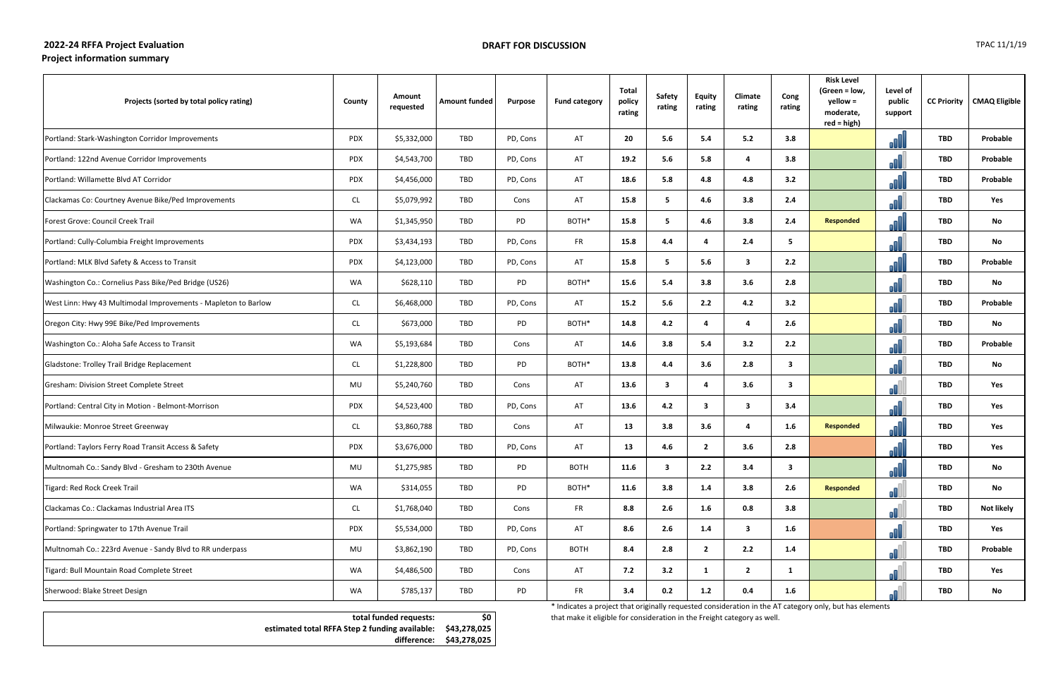# **2022-24 RFFA Project Evaluation Project information summary**

\* Indicates a project that originally requested consideration in the AT category only, but has elements that make it eligible for consideration in the Freight category as well.

| Projects (sorted by total policy rating)                       | <b>County</b> | Amount<br>requested | <b>Amount funded</b> | Purpose  | <b>Fund category</b> | <b>Total</b><br>policy<br>rating | <b>Safety</b><br>rating | <b>Equity</b><br>rating | Climate<br>rating       | Cong<br>rating          | <b>Risk Level</b><br>(Green = low,<br>yellow =<br>moderate,<br>$red = high$ ) | Level of<br>public<br>support |            | <b>CC Priority   CMAQ Eligible</b> |
|----------------------------------------------------------------|---------------|---------------------|----------------------|----------|----------------------|----------------------------------|-------------------------|-------------------------|-------------------------|-------------------------|-------------------------------------------------------------------------------|-------------------------------|------------|------------------------------------|
| Portland: Stark-Washington Corridor Improvements               | PDX           | \$5,332,000         | TBD                  | PD, Cons | AT                   | 20                               | 5.6                     | 5.4                     | 5.2                     | 3.8                     |                                                                               |                               | <b>TBD</b> | Probable                           |
| Portland: 122nd Avenue Corridor Improvements                   | <b>PDX</b>    | \$4,543,700         | TBD                  | PD, Cons | AT                   | 19.2                             | 5.6                     | 5.8                     | 4                       | 3.8                     |                                                                               |                               | <b>TBD</b> | Probable                           |
| Portland: Willamette Blvd AT Corridor                          | <b>PDX</b>    | \$4,456,000         | TBD                  | PD, Cons | AT                   | 18.6                             | 5.8                     | 4.8                     | 4.8                     | 3.2                     |                                                                               |                               | <b>TBD</b> | Probable                           |
| Clackamas Co: Courtney Avenue Bike/Ped Improvements            | CL            | \$5,079,992         | TBD                  | Cons     | AT                   | 15.8                             | 5                       | 4.6                     | 3.8                     | 2.4                     |                                                                               |                               | <b>TBD</b> | Yes                                |
| Forest Grove: Council Creek Trail                              | WA            | \$1,345,950         | TBD                  | PD       | BOTH*                | 15.8                             | 5                       | 4.6                     | 3.8                     | 2.4                     | <b>Responded</b>                                                              |                               | <b>TBD</b> | No                                 |
| Portland: Cully-Columbia Freight Improvements                  | <b>PDX</b>    | \$3,434,193         | TBD                  | PD, Cons | <b>FR</b>            | 15.8                             | 4.4                     | -4                      | 2.4                     | 5                       |                                                                               |                               | <b>TBD</b> | No                                 |
| Portland: MLK Blvd Safety & Access to Transit                  | <b>PDX</b>    | \$4,123,000         | TBD                  | PD, Cons | AT                   | 15.8                             | 5                       | 5.6                     | $\overline{\mathbf{3}}$ | 2.2                     |                                                                               |                               | <b>TBD</b> | Probable                           |
| Washington Co.: Cornelius Pass Bike/Ped Bridge (US26)          | WA            | \$628,110           | TBD                  | PD       | BOTH*                | 15.6                             | 5.4                     | 3.8                     | 3.6                     | 2.8                     |                                                                               |                               | <b>TBD</b> | No                                 |
| West Linn: Hwy 43 Multimodal Improvements - Mapleton to Barlow | <b>CL</b>     | \$6,468,000         | TBD                  | PD, Cons | AT                   | 15.2                             | 5.6                     | 2.2                     | 4.2                     | 3.2                     |                                                                               |                               | TBD        | Probable                           |
| Oregon City: Hwy 99E Bike/Ped Improvements                     | CL            | \$673,000           | TBD                  | PD       | BOTH*                | 14.8                             | 4.2                     | -4                      | $\overline{a}$          | 2.6                     |                                                                               |                               | <b>TBD</b> | No                                 |
| Washington Co.: Aloha Safe Access to Transit                   | WA            | \$5,193,684         | TBD                  | Cons     | AT                   | 14.6                             | 3.8                     | 5.4                     | 3.2                     | 2.2                     |                                                                               |                               | <b>TBD</b> | Probable                           |
| Gladstone: Trolley Trail Bridge Replacement                    | <b>CL</b>     | \$1,228,800         | TBD                  | PD       | BOTH*                | 13.8                             | 4.4                     | 3.6                     | 2.8                     | $\overline{\mathbf{3}}$ |                                                                               |                               | <b>TBD</b> | No                                 |
| Gresham: Division Street Complete Street                       | MU            | \$5,240,760         | TBD                  | Cons     | AT                   | 13.6                             | 3                       | -4                      | 3.6                     | $\overline{\mathbf{3}}$ |                                                                               | . A                           | <b>TBD</b> | Yes                                |
| Portland: Central City in Motion - Belmont-Morrison            | <b>PDX</b>    | \$4,523,400         | TBD                  | PD, Cons | AT                   | 13.6                             | 4.2                     | $\overline{\mathbf{3}}$ | $\overline{\mathbf{3}}$ | 3.4                     |                                                                               |                               | <b>TBD</b> | Yes                                |
| Milwaukie: Monroe Street Greenway                              | CL            | \$3,860,788         | TBD                  | Cons     | AT                   | 13                               | 3.8                     | 3.6                     | 4                       | 1.6                     | Responded                                                                     |                               | <b>TBD</b> | Yes                                |
| Portland: Taylors Ferry Road Transit Access & Safety           | <b>PDX</b>    | \$3,676,000         | TBD                  | PD, Cons | AT                   | 13                               | 4.6                     | $\overline{2}$          | 3.6                     | 2.8                     |                                                                               |                               | <b>TBD</b> | Yes                                |
| Multnomah Co.: Sandy Blvd - Gresham to 230th Avenue            | MU            | \$1,275,985         | TBD                  | PD       | <b>BOTH</b>          | 11.6                             | $\overline{\mathbf{3}}$ | 2.2                     | 3.4                     | $\overline{\mathbf{3}}$ |                                                                               | n                             | <b>TBD</b> | No                                 |
| Tigard: Red Rock Creek Trail                                   | WA            | \$314,055           | TBD                  | PD       | BOTH*                | 11.6                             | 3.8                     | 1.4                     | 3.8                     | 2.6                     | <b>Responded</b>                                                              |                               | <b>TBD</b> | No                                 |
| Clackamas Co.: Clackamas Industrial Area ITS                   | CL            | \$1,768,040         | TBD                  | Cons     | <b>FR</b>            | 8.8                              | 2.6                     | 1.6                     | 0.8                     | 3.8                     |                                                                               |                               | <b>TBD</b> | <b>Not likely</b>                  |
| Portland: Springwater to 17th Avenue Trail                     | <b>PDX</b>    | \$5,534,000         | TBD                  | PD, Cons | AT                   | 8.6                              | 2.6                     | 1.4                     | $\overline{\mathbf{3}}$ | 1.6                     |                                                                               |                               | <b>TBD</b> | Yes                                |
| Multnomah Co.: 223rd Avenue - Sandy Blvd to RR underpass       | MU            | \$3,862,190         | TBD                  | PD, Cons | <b>BOTH</b>          | 8.4                              | 2.8                     | $\overline{\mathbf{2}}$ | 2.2                     | 1.4                     |                                                                               |                               | <b>TBD</b> | Probable                           |
| Tigard: Bull Mountain Road Complete Street                     | WA            | \$4,486,500         | TBD                  | Cons     | AT                   | 7.2                              | 3.2                     | $\mathbf{1}$            | $\overline{2}$          | $\mathbf{1}$            |                                                                               |                               | <b>TBD</b> | Yes                                |
| Sherwood: Blake Street Design                                  | WA            | \$785,137           | TBD                  | PD       | <b>FR</b>            | 3.4                              | 0.2                     | $1.2$                   | 0.4                     | 1.6                     |                                                                               |                               | <b>TBD</b> | No                                 |

| \$0                      | total funded requests:                                      |
|--------------------------|-------------------------------------------------------------|
|                          | estimated total RFFA Step 2 funding available: \$43,278,025 |
| difference: \$43,278,025 |                                                             |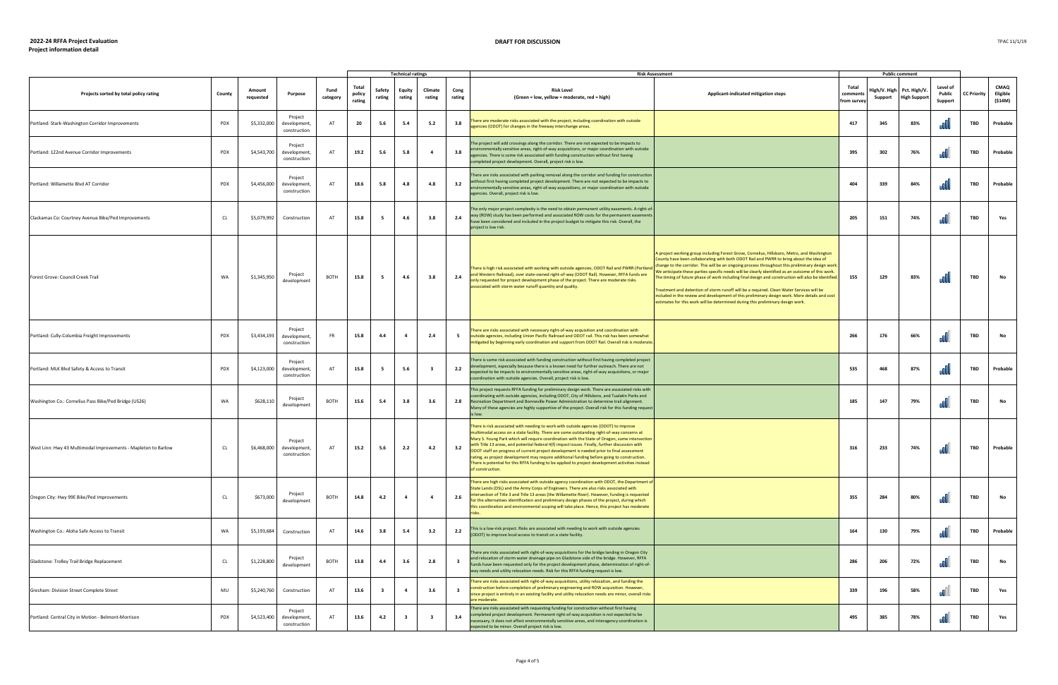## **2022-24 RFFA Project Evaluation**

## **DRAFT FOR DISCUSSION**

|                                                                |        |                     |                                         |                  |                           |                         | <b>Technical ratings</b> |                   |                         | <b>Risk Assessment</b>                                                                                                                                                                                                                                                                                                                                                                                                                                                                                                                                                                                                                                                                                       |                                                                                                                                                                                                                                                                                                                                                                                                                                                                                                                                                                                                                                                                                                                                                                                      |                                 | <b>Public comment</b> |                                                  |                               |                    |                                    |
|----------------------------------------------------------------|--------|---------------------|-----------------------------------------|------------------|---------------------------|-------------------------|--------------------------|-------------------|-------------------------|--------------------------------------------------------------------------------------------------------------------------------------------------------------------------------------------------------------------------------------------------------------------------------------------------------------------------------------------------------------------------------------------------------------------------------------------------------------------------------------------------------------------------------------------------------------------------------------------------------------------------------------------------------------------------------------------------------------|--------------------------------------------------------------------------------------------------------------------------------------------------------------------------------------------------------------------------------------------------------------------------------------------------------------------------------------------------------------------------------------------------------------------------------------------------------------------------------------------------------------------------------------------------------------------------------------------------------------------------------------------------------------------------------------------------------------------------------------------------------------------------------------|---------------------------------|-----------------------|--------------------------------------------------|-------------------------------|--------------------|------------------------------------|
| Projects sorted by total policy rating                         | County | Amount<br>requested | Purpose                                 | Fund<br>category | Total<br>policy<br>rating | Safety<br>rating        | Equity<br>rating         | Climate<br>rating | Cong<br>rating          | <b>Risk Level</b><br>(Green = low, yellow = moderate, red = high)                                                                                                                                                                                                                                                                                                                                                                                                                                                                                                                                                                                                                                            | Applicant-indicated mitigation steps                                                                                                                                                                                                                                                                                                                                                                                                                                                                                                                                                                                                                                                                                                                                                 | Total<br>comment<br>from survey | Support               | High/V. High Pct. High/V.<br><b>High Support</b> | Level of<br>Public<br>Support | <b>CC Priority</b> | <b>CMAQ</b><br>Eligible<br>(\$14M) |
| Portland: Stark-Washington Corridor Improvements               | PDX    | \$5,332,000         | Project<br>development,<br>construction | AT               | 20                        | 5.6                     | 5.4                      | 5.2               | 3.8                     | here are moderate risks associated with the project, including coordination with outside<br>gencies (ODOT) for changes in the freeway interchange areas.                                                                                                                                                                                                                                                                                                                                                                                                                                                                                                                                                     |                                                                                                                                                                                                                                                                                                                                                                                                                                                                                                                                                                                                                                                                                                                                                                                      | 417                             | 345                   | 83%                                              |                               | TBD                | Probable                           |
| Portland: 122nd Avenue Corridor Improvements                   | PDX    | \$4,543,700         | Project<br>development,<br>construction | AT               | 19.2                      | 5.6                     | 5.8                      | -4                | 3.8                     | The project will add crossings along the corridor. There are not expected to be impacts to<br>nvironmentally sensitive areas, right-of-way acquisitions, or major coordination with outside<br>gencies. There is some risk associated with funding construction without first having<br>completed project development. Overall, project risk is low.                                                                                                                                                                                                                                                                                                                                                         |                                                                                                                                                                                                                                                                                                                                                                                                                                                                                                                                                                                                                                                                                                                                                                                      | 395                             | 302                   | 76%                                              |                               | TBD                | Probable                           |
| Portland: Willamette Blvd AT Corridor                          | PDX    | \$4,456,000         | Project<br>development,<br>construction | AT               | 18.6                      | 5.8                     | 4.8                      | 4.8               | 3.2                     | There are risks associated with parking removal along the corridor and funding for construction<br>without first having completed project development. There are not expected to be impacts to<br>environmentally sensitive areas, right-of-way acquisitions, or major coordination with outside<br>agencies. Overall, project risk is low.                                                                                                                                                                                                                                                                                                                                                                  |                                                                                                                                                                                                                                                                                                                                                                                                                                                                                                                                                                                                                                                                                                                                                                                      | 404                             | 339                   | 84%                                              |                               | TBD                | Probable                           |
| Clackamas Co: Courtney Avenue Bike/Ped Improvements            | CL     | \$5,079,992         | Construction                            | AT               | 15.8                      | 5                       | 4.6                      | 3.8               | 2.4                     | The only major project complexity is the need to obtain permanent utility easements. A right-of<br>way (ROW) study has been performed and associated ROW costs for the permanent easements<br>have been considered and included in the project budget to mitigate this risk. Overall, the<br>project is low risk.                                                                                                                                                                                                                                                                                                                                                                                            |                                                                                                                                                                                                                                                                                                                                                                                                                                                                                                                                                                                                                                                                                                                                                                                      | 205                             | 151                   | 74%                                              |                               | TBD                | Yes                                |
| Forest Grove: Council Creek Trail                              | WA     | \$1,345,950         | Project<br>development                  | BOTH             | 15.8                      | 5                       | 4.6                      | 3.8               | 2.4                     | There is high risk associated with working with outside agencies, ODOT Rail and PWRR (Portland<br>and Western Railroad), over state-owned right-of-way (ODOT Rail). However, RFFA funds are<br>only requested for project development phase of the project. There are moderate risks<br>issociated with storm water runoff quantity and quality.                                                                                                                                                                                                                                                                                                                                                             | A project working group including Forest Grove, Cornelius, Hillsboro, Metro, and Washington<br>County have been collaborating with both ODOT Rail and PWRR to bring about the idea of<br>change to the corridor. This will be an ongoing process throughout this preliminary design work.<br>We anticipate these parties specific needs will be clearly identified as an outcome of this work.<br>The timing of future phase of work including final design and construction will also be identified.<br>reatment and detention of storm runoff will be a required. Clean Water Services will be<br>included in the review and development of this preliminary design work. More details and cost<br>estimates for this work will be determined during this preliminary design work. | 155                             | 129                   | 83%                                              |                               | TBD                |                                    |
| Portland: Cully-Columbia Freight Improvements                  | PDX    | \$3,434,193         | Project<br>development,<br>construction | <b>FR</b>        | 15.8                      | 4.4                     |                          | 2.4               | 5                       | There are risks associated with necessary right-of-way acquisition and coordination with<br>outside agencies, including Union Pacific Railroad and ODOT rail. This risk has been somewhat<br>mitigated by beginning early coordination and support from ODOT Rail. Overall risk is moderate.                                                                                                                                                                                                                                                                                                                                                                                                                 |                                                                                                                                                                                                                                                                                                                                                                                                                                                                                                                                                                                                                                                                                                                                                                                      | 266                             | 176                   | 66%                                              |                               | <b>TBD</b>         | No                                 |
| Portland: MLK Blvd Safety & Access to Transit                  | PDX    | \$4,123,000         | Project<br>development,<br>construction | AT               | 15.8                      | 5                       | 5.6                      | - 3               | 2.2                     | here is some risk associated with funding construction without first having completed project<br>development, especially because there is a known need for further outreach. There are not<br>xpected to be impacts to environmentally sensitive areas, right-of-way acquisitions, or major<br>coordination with outside agencies. Overall, project risk is low.                                                                                                                                                                                                                                                                                                                                             |                                                                                                                                                                                                                                                                                                                                                                                                                                                                                                                                                                                                                                                                                                                                                                                      | 535                             | 468                   | 87%                                              |                               | TBD                | Probable                           |
| Washington Co.: Cornelius Pass Bike/Ped Bridge (US26)          | WA     | \$628,110           | Project<br>development                  | BOTH             | 15.6                      | 5.4                     | 3.8                      | 3.6               | 2.8                     | This project requests RFFA funding for preliminary design work. There are associated risks with<br>coordinating with outside agencies, including ODOT, City of Hillsboro, and Tualatin Parks and<br>Recreation Department and Bonneville Power Administration to determine trail alignment.<br>Many of these agencies are highly supportive of the project. Overall risk for this funding request<br>s low.                                                                                                                                                                                                                                                                                                  |                                                                                                                                                                                                                                                                                                                                                                                                                                                                                                                                                                                                                                                                                                                                                                                      | 185                             | 147                   | 79%                                              |                               | <b>TBD</b>         |                                    |
| West Linn: Hwy 43 Multimodal Improvements - Mapleton to Barlow | CL     | \$6,468,000         | Project<br>development,<br>construction | AT               | 15.2                      | 5.6                     | 2.2                      | 4.2               | 3.2                     | There is risk associated with needing to work with outside agencies (ODOT) to improve<br>multimodal access on a state facility. There are some outstanding right-of-way concerns at<br>Mary S. Young Park which will require coordination with the State of Oregon, some intersection<br>with Title 13 areas, and potential federal 4(f) impact issues. Finally, further discussion with<br>ODOT staff on progress of current project development is needed prior to final assessment<br>rating, as project development may require additional funding before going to construction.<br>There is potential for this RFFA funding to be applied to project development activities instead<br>of construction. |                                                                                                                                                                                                                                                                                                                                                                                                                                                                                                                                                                                                                                                                                                                                                                                      | 316                             | 233                   | 74%                                              |                               | TBD                | Probable                           |
| Oregon City: Hwy 99E Bike/Ped Improvements                     | CL     | \$673,000           | Project<br>development                  | BOTH             | 14.8                      | 4.2                     | $\overline{4}$           | $\overline{4}$    | 2.6                     | There are high risks associated with outside agency coordination with ODOT, the Department of<br>State Lands (DSL) and the Army Corps of Engineers. There are also risks associated with<br>intersection of Title 3 and Title 13 areas (the Willamette River). However, funding is requested<br>for the alternatives identification and preliminary design phases of the project, during which<br>this coordination and environmental scoping will take place. Hence, this project has moderate                                                                                                                                                                                                              |                                                                                                                                                                                                                                                                                                                                                                                                                                                                                                                                                                                                                                                                                                                                                                                      | 355                             | 284                   | 80%                                              |                               | TBD                | No                                 |
| Washington Co.: Aloha Safe Access to Transit                   | WA     | \$5,193,684         | Construction                            | AT               | 14.6                      | 3.8                     | 5.4                      | 3.2               | 2.2                     | This is a low-risk project. Risks are associated with needing to work with outside agencies<br>(ODOT) to improve local access to transit on a state facility.                                                                                                                                                                                                                                                                                                                                                                                                                                                                                                                                                |                                                                                                                                                                                                                                                                                                                                                                                                                                                                                                                                                                                                                                                                                                                                                                                      | 164                             | 130                   | 79%                                              |                               | TBD                | Probable                           |
| Gladstone: Trolley Trail Bridge Replacement                    | CL     | \$1,228,800         | Project<br>development                  | BOTH             | 13.8                      | 4.4                     | 3.6                      | 2.8               | $\overline{\mathbf{3}}$ | There are risks associated with right-of-way acquisitions for the bridge landing in Oregon City<br>and relocation of storm water drainage pipe on Gladstone side of the bridge. However, RFFA<br>funds have been requested only for the project development phase, determination of right-of-<br>way needs and utility relocation needs. Risk for this RFFA funding request is low.                                                                                                                                                                                                                                                                                                                          |                                                                                                                                                                                                                                                                                                                                                                                                                                                                                                                                                                                                                                                                                                                                                                                      | 286                             | 206                   | 72%                                              |                               | TBD                | No                                 |
| Gresham: Division Street Complete Street                       | MU     | \$5,240,760         | Construction                            | AT               | 13.6                      | $\overline{\mathbf{3}}$ | 4                        | 3.6               | $\overline{\mathbf{3}}$ | There are risks associated with right-of-way acquisitions, utility relocation, and funding the<br>construction before completion of preliminary engineering and ROW acquisition. However,<br>since project is entirely in an existing facility and utility relocation needs are minor, overall risks<br>are moderate.                                                                                                                                                                                                                                                                                                                                                                                        |                                                                                                                                                                                                                                                                                                                                                                                                                                                                                                                                                                                                                                                                                                                                                                                      | 339                             | 196                   | 58%                                              | oO.                           | TBD                | Yes                                |
| Portland: Central City in Motion - Belmont-Morrison            | PDX    | \$4,523,400         | Project<br>development,<br>construction | AT               | 13.6                      | 4.2                     | - 3                      |                   | 3.4                     | here are risks associated with requesting funding for construction without first having<br>completed project development. Permanent right-of-way acquisition is not expected to be<br>necessary, it does not affect environmentally sensitive areas, and interagency coordination is<br>expected to be minor. Overall project risk is low.                                                                                                                                                                                                                                                                                                                                                                   |                                                                                                                                                                                                                                                                                                                                                                                                                                                                                                                                                                                                                                                                                                                                                                                      | 495                             | 385                   | 78%                                              |                               | TBD                | Yes                                |